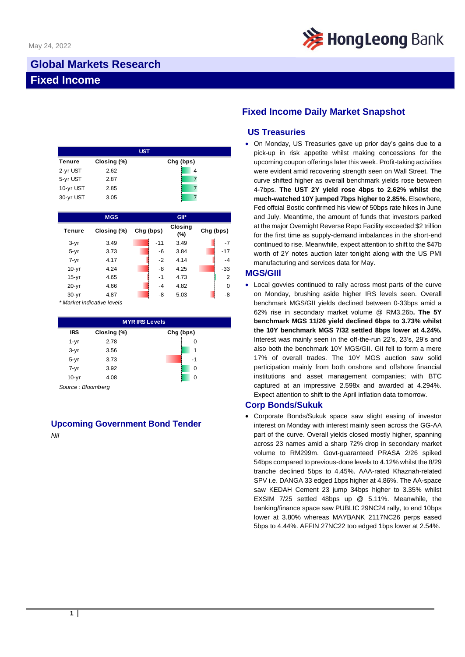

## **Global Markets Research Fixed Income**

| <b>UST</b>    |             |           |  |  |  |  |
|---------------|-------------|-----------|--|--|--|--|
| <b>Tenure</b> | Closing (%) | Chg (bps) |  |  |  |  |
| 2-yr UST      | 2.62        | 4         |  |  |  |  |
| 5-yr UST      | 2.87        |           |  |  |  |  |
| 10-yr UST     | 2.85        |           |  |  |  |  |
| 30-yr UST     | 3.05        |           |  |  |  |  |

|               | <b>MGS</b>  |           |       | GII*                  |                |
|---------------|-------------|-----------|-------|-----------------------|----------------|
| <b>Tenure</b> | Closing (%) | Chg (bps) |       | <b>Closing</b><br>(%) | Chg (bps)      |
| $3-yr$        | 3.49        |           | $-11$ | 3.49                  | $-7$           |
| $5 - yr$      | 3.73        |           | -6    | 3.84                  | $-17$          |
| $7 - yr$      | 4.17        |           | $-2$  | 4.14                  | $-4$           |
| $10-yr$       | 4.24        |           | -8    | 4.25                  | -33            |
| $15-yr$       | 4.65        |           | $-1$  | 4.73                  | $\overline{2}$ |
| $20-yr$       | 4.66        |           | $-4$  | 4.82                  | $\Omega$       |
| $30 - yr$     | 4.87        |           | -8    | 5.03                  | -8             |

*\* Market indicative levels*

| <b>MYRIRS Levels</b> |             |           |  |  |  |  |
|----------------------|-------------|-----------|--|--|--|--|
| <b>IRS</b>           | Closing (%) | Chg (bps) |  |  |  |  |
| $1 - yr$             | 2.78        | 0         |  |  |  |  |
| $3-yr$               | 3.56        | 1         |  |  |  |  |
| $5 - yr$             | 3.73        | -1        |  |  |  |  |
| $7 - yr$             | 3.92        | 0         |  |  |  |  |
| $10-yr$              | 4.08        | 0         |  |  |  |  |

*Source : Bloomberg*

# **Upcoming Government Bond Tender**

*Nil*

## **Fixed Income Daily Market Snapshot**

### **US Treasuries**

• On Monday, US Treasuries gave up prior day's gains due to a pick-up in risk appetite whilst making concessions for the upcoming coupon offerings later this week. Profit-taking activities were evident amid recovering strength seen on Wall Street. The curve shifted higher as overall benchmark yields rose between 4-7bps. **The UST 2Y yield rose 4bps to 2.62% whilst the much-watched 10Y jumped 7bps higher to 2.85%.** Elsewhere, Fed offcial Bostic confirmed his view of 50bps rate hikes in June and July. Meantime, the amount of funds that investors parked at the major Overnight Reverse Repo Facility exceeded \$2 trillion for the first time as supply-demand imbalances in the short-end continued to rise. Meanwhile, expect attention to shift to the \$47b worth of 2Y notes auction later tonight along with the US PMI manufacturing and services data for May.

#### **MGS/GIIl**

• Local govvies continued to rally across most parts of the curve on Monday, brushing aside higher IRS levels seen. Overall benchmark MGS/GII yields declined between 0-33bps amid a 62% rise in secondary market volume @ RM3.26b**. The 5Y benchmark MGS 11/26 yield declined 6bps to 3.73% whilst the 10Y benchmark MGS 7/32 settled 8bps lower at 4.24%.** Interest was mainly seen in the off-the-run 22's, 23's, 29's and also both the benchmark 10Y MGS/GII. GII fell to form a mere 17% of overall trades. The 10Y MGS auction saw solid participation mainly from both onshore and offshore financial institutions and asset management companies; with BTC captured at an impressive 2.598x and awarded at 4.294%. Expect attention to shift to the April inflation data tomorrow.

#### **Corp Bonds/Sukuk**

• Corporate Bonds/Sukuk space saw slight easing of investor interest on Monday with interest mainly seen across the GG-AA part of the curve. Overall yields closed mostly higher, spanning across 23 names amid a sharp 72% drop in secondary market volume to RM299m. Govt-guaranteed PRASA 2/26 spiked 54bps compared to previous-done levels to 4.12% whilst the 8/29 tranche declined 5bps to 4.45%. AAA-rated Khaznah-related SPV i.e. DANGA 33 edged 1bps higher at 4.86%. The AA-space saw KEDAH Cement 23 jump 34bps higher to 3.35% whilst EXSIM 7/25 settled 48bps up @ 5.11%. Meanwhile, the banking/finance space saw PUBLIC 29NC24 rally, to end 10bps lower at 3.80% whereas MAYBANK 2117NC26 perps eased 5bps to 4.44%. AFFIN 27NC22 too edged 1bps lower at 2.54%.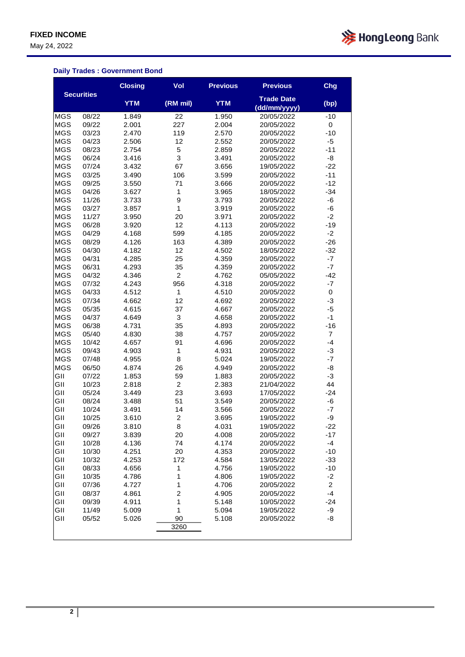May 24, 2022



### **Daily Trades : Government Bond**

|            |                   | <b>Closing</b> | Vol                     | <b>Previous</b> | <b>Previous</b>                   | Chg                    |
|------------|-------------------|----------------|-------------------------|-----------------|-----------------------------------|------------------------|
|            | <b>Securities</b> | <b>YTM</b>     | (RM mil)                | <b>YTM</b>      | <b>Trade Date</b><br>(dd/mm/yyyy) | (bp)                   |
| <b>MGS</b> | 08/22             | 1.849          | 22                      | 1.950           | 20/05/2022                        | $-10$                  |
| <b>MGS</b> | 09/22             | 2.001          | 227                     | 2.004           | 20/05/2022                        | 0                      |
| <b>MGS</b> | 03/23             | 2.470          | 119                     | 2.570           | 20/05/2022                        | $-10$                  |
| <b>MGS</b> | 04/23             | 2.506          | 12                      | 2.552           | 20/05/2022                        | $-5$                   |
| <b>MGS</b> | 08/23             | 2.754          | 5                       | 2.859           | 20/05/2022                        | $-11$                  |
| <b>MGS</b> | 06/24             | 3.416          | 3                       | 3.491           | 20/05/2022                        | -8                     |
| <b>MGS</b> | 07/24             | 3.432          | 67                      | 3.656           | 19/05/2022                        | $-22$                  |
| <b>MGS</b> | 03/25             | 3.490          | 106                     | 3.599           | 20/05/2022                        | $-11$                  |
| <b>MGS</b> | 09/25             | 3.550          | 71                      | 3.666           | 20/05/2022                        | $-12$                  |
| <b>MGS</b> | 04/26             | 3.627          | $\mathbf 1$             | 3.965           | 18/05/2022                        | $-34$                  |
| <b>MGS</b> | 11/26             | 3.733          | 9                       | 3.793           | 20/05/2022                        | -6                     |
| <b>MGS</b> | 03/27             | 3.857          | $\mathbf 1$             | 3.919           | 20/05/2022                        | -6                     |
| <b>MGS</b> | 11/27             | 3.950          | 20                      | 3.971           | 20/05/2022                        | $-2$                   |
| <b>MGS</b> | 06/28             | 3.920          | 12                      | 4.113           | 20/05/2022                        | $-19$                  |
| <b>MGS</b> | 04/29             | 4.168          | 599                     | 4.185           | 20/05/2022                        | $-2$                   |
| <b>MGS</b> | 08/29             | 4.126          | 163                     | 4.389           | 20/05/2022                        | $-26$                  |
| <b>MGS</b> | 04/30             | 4.182          | 12                      | 4.502           | 18/05/2022                        | $-32$                  |
| <b>MGS</b> | 04/31             | 4.285          | 25                      | 4.359           | 20/05/2022                        | $-7$                   |
| <b>MGS</b> | 06/31             | 4.293          | 35                      | 4.359           | 20/05/2022                        | $-7$                   |
| <b>MGS</b> | 04/32             | 4.346          | $\overline{c}$          | 4.762           | 05/05/2022                        | $-42$                  |
| <b>MGS</b> | 07/32             | 4.243          | 956                     | 4.318           | 20/05/2022                        | $-7$                   |
| <b>MGS</b> | 04/33             | 4.512          | $\mathbf 1$             | 4.510           | 20/05/2022                        | 0                      |
| <b>MGS</b> | 07/34             | 4.662          | 12                      | 4.692           | 20/05/2022                        | $-3$                   |
| <b>MGS</b> | 05/35             | 4.615          | 37                      | 4.667           | 20/05/2022                        | $-5$                   |
| <b>MGS</b> | 04/37             | 4.649          | 3                       | 4.658           | 20/05/2022                        | $-1$                   |
| <b>MGS</b> | 06/38             | 4.731          | 35                      | 4.893           | 20/05/2022                        | $-16$                  |
| <b>MGS</b> | 05/40             | 4.830          | 38                      | 4.757           | 20/05/2022                        | $\overline{7}$         |
| <b>MGS</b> | 10/42             | 4.657          | 91                      | 4.696           | 20/05/2022                        | $-4$                   |
| <b>MGS</b> | 09/43             | 4.903          | $\mathbf 1$             | 4.931           | 20/05/2022                        | $-3$                   |
| <b>MGS</b> | 07/48             | 4.955          | 8                       | 5.024           | 19/05/2022                        | $-7$                   |
| <b>MGS</b> | 06/50             | 4.874          | 26                      | 4.949           | 20/05/2022                        | -8                     |
| GII        | 07/22             | 1.853          | 59                      | 1.883           | 20/05/2022                        | $-3$                   |
| GII        | 10/23             | 2.818          | $\overline{2}$          | 2.383           | 21/04/2022                        | 44                     |
| GII        | 05/24             | 3.449          | 23                      | 3.693           | 17/05/2022                        | $-24$                  |
| GII        | 08/24             | 3.488          | 51                      | 3.549           | 20/05/2022                        | -6                     |
| GII        | 10/24             | 3.491          | 14                      | 3.566           | 20/05/2022                        | $-7$                   |
| GII        | 10/25             | 3.610          | $\overline{\mathbf{c}}$ | 3.695           | 19/05/2022                        | -9                     |
| GII        | 09/26             | 3.810          | 8                       | 4.031           | 19/05/2022                        | $-22$                  |
|            |                   |                |                         |                 |                                   |                        |
| GII<br>GII | 09/27             | 3.839          | 20<br>74                | 4.008           | 20/05/2022                        | -17<br>$-4$            |
| GII        | 10/28             | 4.136          |                         | 4.174           | 20/05/2022                        |                        |
| GII        | 10/30<br>10/32    | 4.251          | 20<br>172               | 4.353           | 20/05/2022                        | $-10$<br>$-33$         |
| GII        |                   | 4.253          |                         | 4.584           | 13/05/2022                        |                        |
| GII        | 08/33<br>10/35    | 4.656          | 1                       | 4.756           | 19/05/2022                        | $-10$                  |
|            |                   | 4.786          | 1                       | 4.806           | 19/05/2022                        | $-2$                   |
| GII        | 07/36             | 4.727          | 1                       | 4.706           | 20/05/2022                        | $\overline{c}$<br>$-4$ |
| GII        | 08/37             | 4.861          | $\overline{\mathbf{c}}$ | 4.905           | 20/05/2022                        |                        |
| GII        | 09/39             | 4.911          | 1                       | 5.148           | 10/05/2022                        | $-24$                  |
| GII        | 11/49             | 5.009          | $\mathbf 1$             | 5.094           | 19/05/2022                        | -9                     |
| GII        | 05/52             | 5.026          | 90                      | 5.108           | 20/05/2022                        | -8                     |
|            |                   |                | 3260                    |                 |                                   |                        |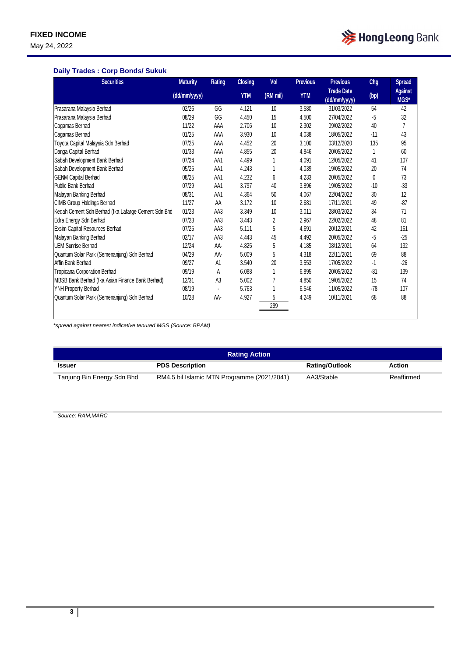May 24, 2022



#### **Daily Trades : Corp Bonds/ Sukuk**

| <b>Securities</b>                                   | <b>Maturity</b> | <b>Rating</b>  | <b>Closing</b> | Vol      | <b>Previous</b> | <b>Previous</b>                   | Chg   | <b>Spread</b>          |
|-----------------------------------------------------|-----------------|----------------|----------------|----------|-----------------|-----------------------------------|-------|------------------------|
|                                                     | (dd/mm/yyyy)    |                | <b>YTM</b>     | (RM mil) | <b>YTM</b>      | <b>Trade Date</b><br>(dd/mm/yyyy) | (bp)  | <b>Against</b><br>MGS* |
| Prasarana Malaysia Berhad                           | 02/26           | GG             | 4.121          | 10       | 3.580           | 31/03/2022                        | 54    | 42                     |
| Prasarana Malaysia Berhad                           | 08/29           | GG             | 4.450          | 15       | 4.500           | 27/04/2022                        | -5    | 32                     |
| Cagamas Berhad                                      | 11/22           | AAA            | 2.706          | 10       | 2.302           | 09/02/2022                        | 40    | $\overline{7}$         |
| Cagamas Berhad                                      | 01/25           | AAA            | 3.930          | 10       | 4.038           | 18/05/2022                        | $-11$ | 43                     |
| Toyota Capital Malaysia Sdn Berhad                  | 07/25           | AAA            | 4.452          | 20       | 3.100           | 03/12/2020                        | 135   | 95                     |
| Danga Capital Berhad                                | 01/33           | AAA            | 4.855          | 20       | 4.846           | 20/05/2022                        | 1     | 60                     |
| Sabah Development Bank Berhad                       | 07/24           | AA1            | 4.499          |          | 4.091           | 12/05/2022                        | 41    | 107                    |
| Sabah Development Bank Berhad                       | 05/25           | AA1            | 4.243          |          | 4.039           | 19/05/2022                        | 20    | 74                     |
| <b>GENM Capital Berhad</b>                          | 08/25           | AA1            | 4.232          | 6        | 4.233           | 20/05/2022                        | 0     | 73                     |
| Public Bank Berhad                                  | 07/29           | AA1            | 3.797          | 40       | 3.896           | 19/05/2022                        | $-10$ | $-33$                  |
| Malayan Banking Berhad                              | 08/31           | AA1            | 4.364          | 50       | 4.067           | 22/04/2022                        | 30    | 12                     |
| CIMB Group Holdings Berhad                          | 11/27           | AA             | 3.172          | 10       | 2.681           | 17/11/2021                        | 49    | $-87$                  |
| Kedah Cement Sdn Berhad (fka Lafarge Cement Sdn Bhd | 01/23           | AA3            | 3.349          | 10       | 3.011           | 28/03/2022                        | 34    | 71                     |
| Edra Energy Sdn Berhad                              | 07/23           | AA3            | 3.443          | 2        | 2.967           | 22/02/2022                        | 48    | 81                     |
| Exsim Capital Resources Berhad                      | 07/25           | AA3            | 5.111          | 5        | 4.691           | 20/12/2021                        | 42    | 161                    |
| Malayan Banking Berhad                              | 02/17           | AA3            | 4.443          | 45       | 4.492           | 20/05/2022                        | $-5$  | $-25$                  |
| UEM Sunrise Berhad                                  | 12/24           | AA-            | 4.825          | 5        | 4.185           | 08/12/2021                        | 64    | 132                    |
| Quantum Solar Park (Semenanjung) Sdn Berhad         | 04/29           | AA-            | 5.009          | 5        | 4.318           | 22/11/2021                        | 69    | 88                     |
| Affin Bank Berhad                                   | 09/27           | A <sub>1</sub> | 3.540          | 20       | 3.553           | 17/05/2022                        | -1    | $-26$                  |
| Tropicana Corporation Berhad                        | 09/19           | А              | 6.088          |          | 6.895           | 20/05/2022                        | $-81$ | 139                    |
| MBSB Bank Berhad (fka Asian Finance Bank Berhad)    | 12/31           | A <sub>3</sub> | 5.002          | 7        | 4.850           | 19/05/2022                        | 15    | 74                     |
| YNH Property Berhad                                 | 08/19           |                | 5.763          |          | 6.546           | 11/05/2022                        | $-78$ | 107                    |
| Quantum Solar Park (Semenanjung) Sdn Berhad         | 10/28           | AA-            | 4.927          | 5        | 4.249           | 10/11/2021                        | 68    | 88                     |
|                                                     |                 |                |                | 299      |                 |                                   |       |                        |

*\*spread against nearest indicative tenured MGS (Source: BPAM)*

| <b>Rating Action</b>       |                                             |                       |            |  |  |  |
|----------------------------|---------------------------------------------|-----------------------|------------|--|--|--|
| <b>Issuer</b>              | <b>PDS Description</b>                      | <b>Rating/Outlook</b> | Action     |  |  |  |
| Tanjung Bin Energy Sdn Bhd | RM4.5 bil Islamic MTN Programme (2021/2041) | AA3/Stable            | Reaffirmed |  |  |  |

*Source: RAM,MARC*